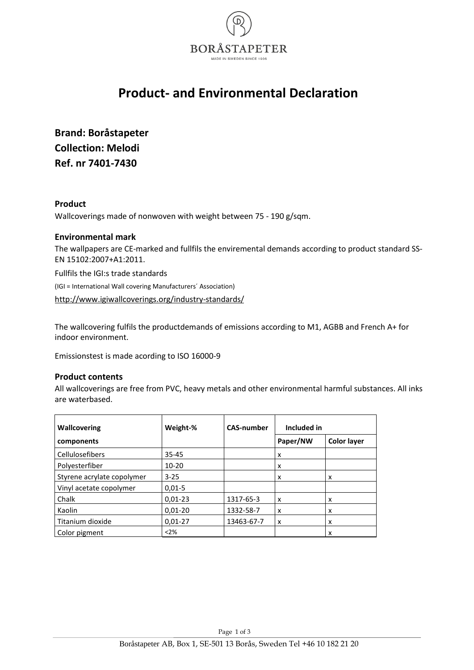

## **Product- and Environmental Declaration**

**Brand: Boråstapeter Collection: Melodi Ref. nr 7401-7430**

#### **Product**

Wallcoverings made of nonwoven with weight between 75 - 190 g/sqm.

#### **Environmental mark**

The wallpapers are CE-marked and fullfils the enviremental demands according to product standard SS-EN 15102:2007+A1:2011.

Fullfils the IGI:s trade standards

(IGI = International Wall covering Manufacturers´ Association)

<http://www.igiwallcoverings.org/industry-standards/>

The wallcovering fulfils the productdemands of emissions according to M1, AGBB and French A+ for indoor environment.

Emissionstest is made acording to ISO 16000-9

#### **Product contents**

All wallcoverings are free from PVC, heavy metals and other environmental harmful substances. All inks are waterbased.

| <b>Wallcovering</b>        | Weight-%   | <b>CAS-number</b> | Included in |                    |
|----------------------------|------------|-------------------|-------------|--------------------|
| components                 |            |                   | Paper/NW    | <b>Color layer</b> |
| Cellulosefibers            | $35 - 45$  |                   | x           |                    |
| Polyesterfiber             | 10-20      |                   | x           |                    |
| Styrene acrylate copolymer | $3 - 25$   |                   | x           | x                  |
| Vinyl acetate copolymer    | $0.01 - 5$ |                   |             |                    |
| Chalk                      | $0,01-23$  | 1317-65-3         | x           | x                  |
| Kaolin                     | $0,01-20$  | 1332-58-7         | x           | x                  |
| Titanium dioxide           | $0,01-27$  | 13463-67-7        | x           | x                  |
| Color pigment              | $<$ 2%     |                   |             | x                  |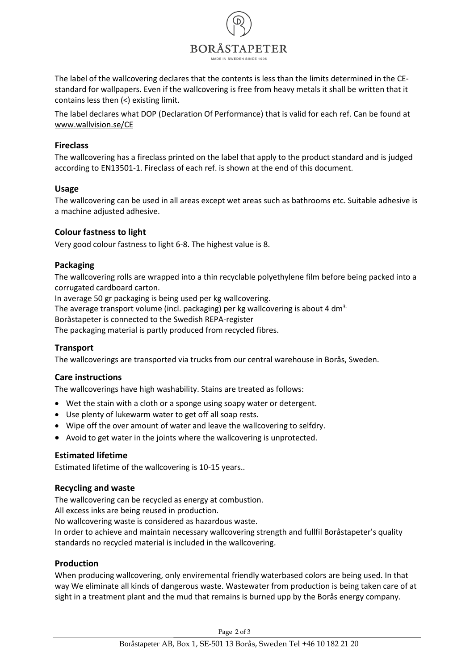

The label of the wallcovering declares that the contents is less than the limits determined in the CEstandard for wallpapers. Even if the wallcovering is free from heavy metals it shall be written that it contains less then (<) existing limit.

The label declares what DOP (Declaration Of Performance) that is valid for each ref. Can be found at [www.wallvision.se/CE](http://www.wallvision.se/CE)

#### **Fireclass**

The wallcovering has a fireclass printed on the label that apply to the product standard and is judged according to EN13501-1. Fireclass of each ref. is shown at the end of this document.

#### **Usage**

The wallcovering can be used in all areas except wet areas such as bathrooms etc. Suitable adhesive is a machine adjusted adhesive.

#### **Colour fastness to light**

Very good colour fastness to light 6-8. The highest value is 8.

#### **Packaging**

The wallcovering rolls are wrapped into a thin recyclable polyethylene film before being packed into a corrugated cardboard carton.

In average 50 gr packaging is being used per kg wallcovering.

The average transport volume (incl. packaging) per kg wallcovering is about 4 dm<sup>3.</sup>

Boråstapeter is connected to the Swedish REPA-register

The packaging material is partly produced from recycled fibres.

#### **Transport**

The wallcoverings are transported via trucks from our central warehouse in Borås, Sweden.

#### **Care instructions**

The wallcoverings have high washability. Stains are treated as follows:

- Wet the stain with a cloth or a sponge using soapy water or detergent.
- Use plenty of lukewarm water to get off all soap rests.
- Wipe off the over amount of water and leave the wallcovering to selfdry.
- Avoid to get water in the joints where the wallcovering is unprotected.

#### **Estimated lifetime**

Estimated lifetime of the wallcovering is 10-15 years..

#### **Recycling and waste**

The wallcovering can be recycled as energy at combustion.

All excess inks are being reused in production.

No wallcovering waste is considered as hazardous waste.

In order to achieve and maintain necessary wallcovering strength and fullfil Boråstapeter's quality standards no recycled material is included in the wallcovering.

#### **Production**

When producing wallcovering, only enviremental friendly waterbased colors are being used. In that way We eliminate all kinds of dangerous waste. Wastewater from production is being taken care of at sight in a treatment plant and the mud that remains is burned upp by the Borås energy company.

Page 2 of 3